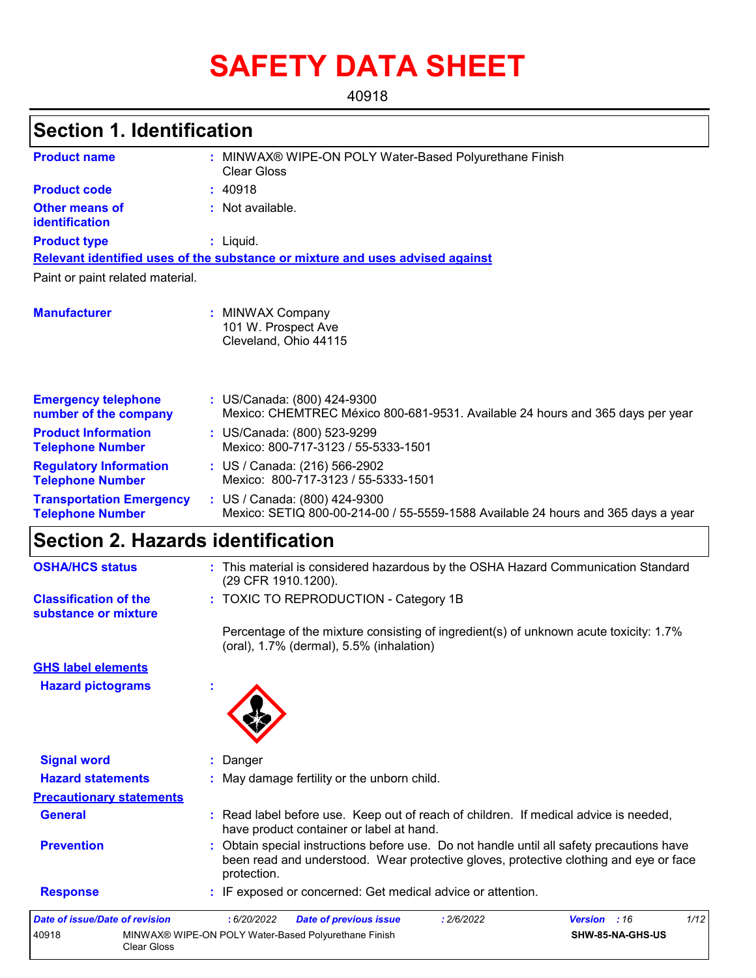# **SAFETY DATA SHEET**

40918

## **Section 1. Identification**

| <b>Product name</b>                                        | MINWAX® WIPE-ON POLY Water-Based Polyurethane Finish<br><b>Clear Gloss</b>                                         |  |  |
|------------------------------------------------------------|--------------------------------------------------------------------------------------------------------------------|--|--|
| <b>Product code</b>                                        | : 40918                                                                                                            |  |  |
| <b>Other means of</b><br>identification                    | $:$ Not available.                                                                                                 |  |  |
| <b>Product type</b>                                        | $:$ Liquid.                                                                                                        |  |  |
|                                                            | Relevant identified uses of the substance or mixture and uses advised against                                      |  |  |
| Paint or paint related material.                           |                                                                                                                    |  |  |
| <b>Manufacturer</b>                                        | : MINWAX Company<br>101 W. Prospect Ave<br>Cleveland, Ohio 44115                                                   |  |  |
| <b>Emergency telephone</b><br>number of the company        | : US/Canada: (800) 424-9300<br>Mexico: CHEMTREC México 800-681-9531. Available 24 hours and 365 days per year      |  |  |
| <b>Product Information</b><br><b>Telephone Number</b>      | : US/Canada: (800) 523-9299<br>Mexico: 800-717-3123 / 55-5333-1501                                                 |  |  |
| <b>Regulatory Information</b><br><b>Telephone Number</b>   | : US / Canada: (216) 566-2902<br>Mexico: 800-717-3123 / 55-5333-1501                                               |  |  |
| <b>Transportation Emergency</b><br><b>Telephone Number</b> | : US / Canada: (800) 424-9300<br>Mexico: SETIQ 800-00-214-00 / 55-5559-1588 Available 24 hours and 365 days a year |  |  |

# **Section 2. Hazards identification**

Clear Gloss

| <b>Date of issue/Date of revision</b><br>40918       | 1/12<br>: 6/20/2022<br><b>Date of previous issue</b><br>: 2/6/2022<br><b>Version</b> : 16<br>MINWAX® WIPE-ON POLY Water-Based Polyurethane Finish<br>SHW-85-NA-GHS-US                             |  |  |  |  |
|------------------------------------------------------|---------------------------------------------------------------------------------------------------------------------------------------------------------------------------------------------------|--|--|--|--|
| <b>Response</b>                                      | : IF exposed or concerned: Get medical advice or attention.                                                                                                                                       |  |  |  |  |
| <b>Prevention</b>                                    | : Obtain special instructions before use. Do not handle until all safety precautions have<br>been read and understood. Wear protective gloves, protective clothing and eye or face<br>protection. |  |  |  |  |
| <b>General</b>                                       | : Read label before use. Keep out of reach of children. If medical advice is needed,<br>have product container or label at hand.                                                                  |  |  |  |  |
| <b>Precautionary statements</b>                      |                                                                                                                                                                                                   |  |  |  |  |
| <b>Hazard statements</b>                             | : May damage fertility or the unborn child.                                                                                                                                                       |  |  |  |  |
| <b>Signal word</b>                                   | : Danger                                                                                                                                                                                          |  |  |  |  |
| <b>Hazard pictograms</b>                             |                                                                                                                                                                                                   |  |  |  |  |
| <b>GHS label elements</b>                            |                                                                                                                                                                                                   |  |  |  |  |
|                                                      | Percentage of the mixture consisting of ingredient(s) of unknown acute toxicity: 1.7%<br>(oral), 1.7% (dermal), 5.5% (inhalation)                                                                 |  |  |  |  |
| <b>Classification of the</b><br>substance or mixture | : TOXIC TO REPRODUCTION - Category 1B                                                                                                                                                             |  |  |  |  |
| <b>OSHA/HCS status</b>                               | (29 CFR 1910.1200).                                                                                                                                                                               |  |  |  |  |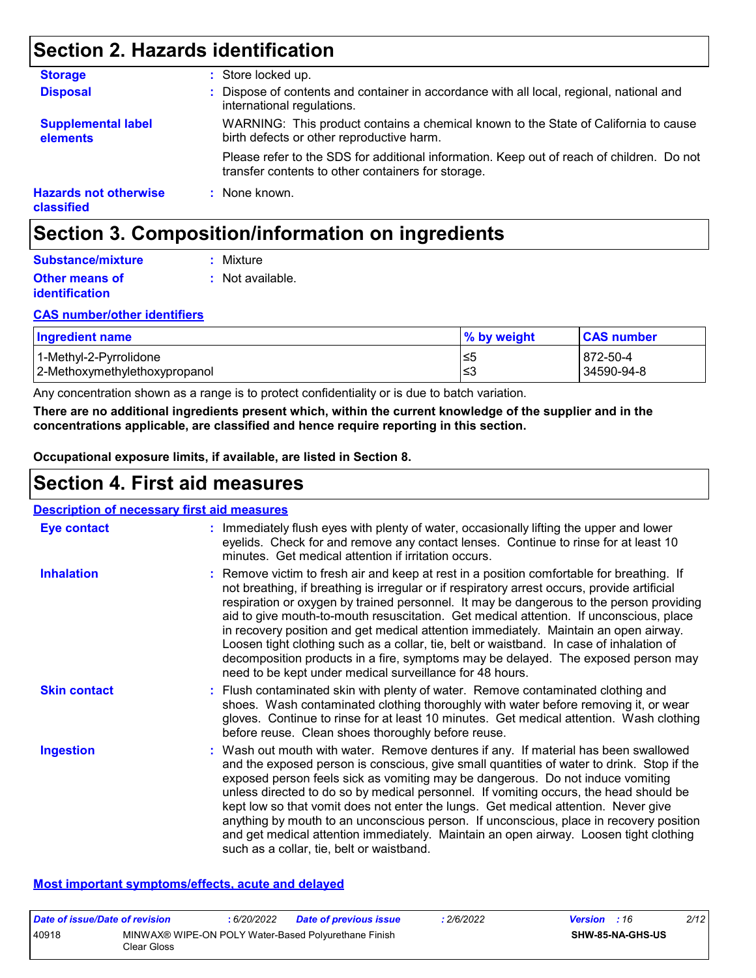### **Section 2. Hazards identification**

| <b>Storage</b>                             | : Store locked up.                                                                                                                              |
|--------------------------------------------|-------------------------------------------------------------------------------------------------------------------------------------------------|
| <b>Disposal</b>                            | : Dispose of contents and container in accordance with all local, regional, national and<br>international regulations.                          |
| <b>Supplemental label</b><br>elements      | WARNING: This product contains a chemical known to the State of California to cause<br>birth defects or other reproductive harm.                |
|                                            | Please refer to the SDS for additional information. Keep out of reach of children. Do not<br>transfer contents to other containers for storage. |
| <b>Hazards not otherwise</b><br>classified | : None known.                                                                                                                                   |

### **Section 3. Composition/information on ingredients**

| Substance/mixture     | : Mixture        |
|-----------------------|------------------|
| <b>Other means of</b> | : Not available. |
| <b>identification</b> |                  |

#### **CAS number/other identifiers**

| <b>Ingredient name</b>        | % by weight | <b>CAS number</b> |
|-------------------------------|-------------|-------------------|
| 1-Methyl-2-Pyrrolidone        | l≤5         | 872-50-4          |
| 2-Methoxymethylethoxypropanol | l≤3         | 34590-94-8        |

Any concentration shown as a range is to protect confidentiality or is due to batch variation.

**There are no additional ingredients present which, within the current knowledge of the supplier and in the concentrations applicable, are classified and hence require reporting in this section.**

**Occupational exposure limits, if available, are listed in Section 8.**

### **Section 4. First aid measures**

|                     | <b>Description of necessary first aid measures</b>                                                                                                                                                                                                                                                                                                                                                                                                                                                                                                                                                                                                                                                                  |
|---------------------|---------------------------------------------------------------------------------------------------------------------------------------------------------------------------------------------------------------------------------------------------------------------------------------------------------------------------------------------------------------------------------------------------------------------------------------------------------------------------------------------------------------------------------------------------------------------------------------------------------------------------------------------------------------------------------------------------------------------|
| <b>Eye contact</b>  | : Immediately flush eyes with plenty of water, occasionally lifting the upper and lower<br>eyelids. Check for and remove any contact lenses. Continue to rinse for at least 10<br>minutes. Get medical attention if irritation occurs.                                                                                                                                                                                                                                                                                                                                                                                                                                                                              |
| <b>Inhalation</b>   | : Remove victim to fresh air and keep at rest in a position comfortable for breathing. If<br>not breathing, if breathing is irregular or if respiratory arrest occurs, provide artificial<br>respiration or oxygen by trained personnel. It may be dangerous to the person providing<br>aid to give mouth-to-mouth resuscitation. Get medical attention. If unconscious, place<br>in recovery position and get medical attention immediately. Maintain an open airway.<br>Loosen tight clothing such as a collar, tie, belt or waistband. In case of inhalation of<br>decomposition products in a fire, symptoms may be delayed. The exposed person may<br>need to be kept under medical surveillance for 48 hours. |
| <b>Skin contact</b> | : Flush contaminated skin with plenty of water. Remove contaminated clothing and<br>shoes. Wash contaminated clothing thoroughly with water before removing it, or wear<br>gloves. Continue to rinse for at least 10 minutes. Get medical attention. Wash clothing<br>before reuse. Clean shoes thoroughly before reuse.                                                                                                                                                                                                                                                                                                                                                                                            |
| <b>Ingestion</b>    | : Wash out mouth with water. Remove dentures if any. If material has been swallowed<br>and the exposed person is conscious, give small quantities of water to drink. Stop if the<br>exposed person feels sick as vomiting may be dangerous. Do not induce vomiting<br>unless directed to do so by medical personnel. If vomiting occurs, the head should be<br>kept low so that vomit does not enter the lungs. Get medical attention. Never give<br>anything by mouth to an unconscious person. If unconscious, place in recovery position<br>and get medical attention immediately. Maintain an open airway. Loosen tight clothing<br>such as a collar, tie, belt or waistband.                                   |

#### **Most important symptoms/effects, acute and delayed**

| Date of issue/Date of revision |                                                                     | : 6/20/2022 | Date of previous issue | 2/6/2022 | <b>Version</b> : 16     | 2/12 |
|--------------------------------|---------------------------------------------------------------------|-------------|------------------------|----------|-------------------------|------|
| 40918                          | MINWAX® WIPE-ON POLY Water-Based Polyurethane Finish<br>Clear Gloss |             |                        |          | <b>SHW-85-NA-GHS-US</b> |      |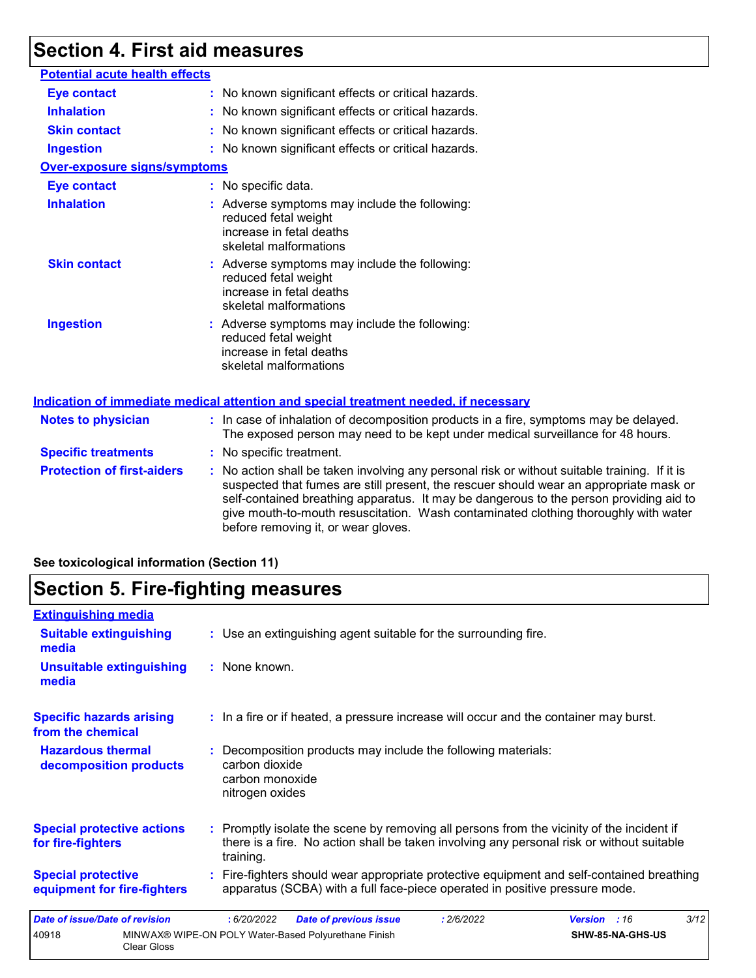## **Section 4. First aid measures**

| <b>Potential acute health effects</b> |                                                                                                                                                                                                                                                                                                                                                                                                               |
|---------------------------------------|---------------------------------------------------------------------------------------------------------------------------------------------------------------------------------------------------------------------------------------------------------------------------------------------------------------------------------------------------------------------------------------------------------------|
| <b>Eye contact</b>                    | : No known significant effects or critical hazards.                                                                                                                                                                                                                                                                                                                                                           |
| <b>Inhalation</b>                     | No known significant effects or critical hazards.                                                                                                                                                                                                                                                                                                                                                             |
| <b>Skin contact</b>                   | No known significant effects or critical hazards.                                                                                                                                                                                                                                                                                                                                                             |
| <b>Ingestion</b>                      | : No known significant effects or critical hazards.                                                                                                                                                                                                                                                                                                                                                           |
| <b>Over-exposure signs/symptoms</b>   |                                                                                                                                                                                                                                                                                                                                                                                                               |
| <b>Eye contact</b>                    | : No specific data.                                                                                                                                                                                                                                                                                                                                                                                           |
| <b>Inhalation</b>                     | : Adverse symptoms may include the following:<br>reduced fetal weight<br>increase in fetal deaths<br>skeletal malformations                                                                                                                                                                                                                                                                                   |
| <b>Skin contact</b>                   | Adverse symptoms may include the following:<br>reduced fetal weight<br>increase in fetal deaths<br>skeletal malformations                                                                                                                                                                                                                                                                                     |
| <b>Ingestion</b>                      | : Adverse symptoms may include the following:<br>reduced fetal weight<br>increase in fetal deaths<br>skeletal malformations                                                                                                                                                                                                                                                                                   |
|                                       | Indication of immediate medical attention and special treatment needed, if necessary                                                                                                                                                                                                                                                                                                                          |
| <b>Notes to physician</b>             | : In case of inhalation of decomposition products in a fire, symptoms may be delayed.<br>The exposed person may need to be kept under medical surveillance for 48 hours.                                                                                                                                                                                                                                      |
| <b>Specific treatments</b>            | No specific treatment.<br>t.                                                                                                                                                                                                                                                                                                                                                                                  |
| <b>Protection of first-aiders</b>     | No action shall be taken involving any personal risk or without suitable training. If it is<br>suspected that fumes are still present, the rescuer should wear an appropriate mask or<br>self-contained breathing apparatus. It may be dangerous to the person providing aid to<br>give mouth-to-mouth resuscitation. Wash contaminated clothing thoroughly with water<br>before removing it, or wear gloves. |

### **See toxicological information (Section 11)**

# **Section 5. Fire-fighting measures**

| <b>Extinguishing media</b>                               |                                                                                                                                                                                                     |                             |  |  |  |
|----------------------------------------------------------|-----------------------------------------------------------------------------------------------------------------------------------------------------------------------------------------------------|-----------------------------|--|--|--|
| <b>Suitable extinguishing</b><br>media                   | : Use an extinguishing agent suitable for the surrounding fire.                                                                                                                                     |                             |  |  |  |
| <b>Unsuitable extinguishing</b><br>media                 | : None known.                                                                                                                                                                                       |                             |  |  |  |
| <b>Specific hazards arising</b><br>from the chemical     | : In a fire or if heated, a pressure increase will occur and the container may burst.                                                                                                               |                             |  |  |  |
| <b>Hazardous thermal</b><br>decomposition products       | : Decomposition products may include the following materials:<br>carbon dioxide<br>carbon monoxide<br>nitrogen oxides                                                                               |                             |  |  |  |
| <b>Special protective actions</b><br>for fire-fighters   | : Promptly isolate the scene by removing all persons from the vicinity of the incident if<br>there is a fire. No action shall be taken involving any personal risk or without suitable<br>training. |                             |  |  |  |
| <b>Special protective</b><br>equipment for fire-fighters | : Fire-fighters should wear appropriate protective equipment and self-contained breathing<br>apparatus (SCBA) with a full face-piece operated in positive pressure mode.                            |                             |  |  |  |
| <b>Date of issue/Date of revision</b>                    | :6/20/2022<br><b>Date of previous issue</b><br>: 2/6/2022                                                                                                                                           | 3/12<br><b>Version</b> : 16 |  |  |  |
| 40918<br><b>Clear Gloss</b>                              | MINWAX® WIPE-ON POLY Water-Based Polyurethane Finish                                                                                                                                                | SHW-85-NA-GHS-US            |  |  |  |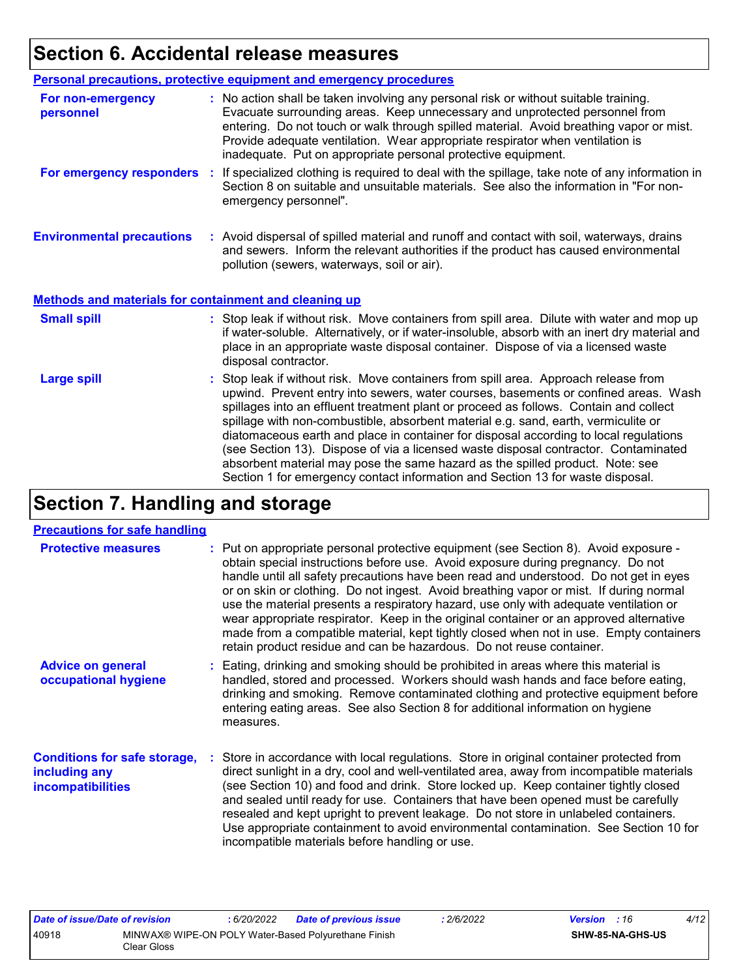# **Section 6. Accidental release measures**

|                                                              | Personal precautions, protective equipment and emergency procedures                                                                                                                                                                                                                                                                                                                                                                                                                                                                                                                                                                                                                                          |  |  |  |
|--------------------------------------------------------------|--------------------------------------------------------------------------------------------------------------------------------------------------------------------------------------------------------------------------------------------------------------------------------------------------------------------------------------------------------------------------------------------------------------------------------------------------------------------------------------------------------------------------------------------------------------------------------------------------------------------------------------------------------------------------------------------------------------|--|--|--|
| For non-emergency<br>personnel                               | : No action shall be taken involving any personal risk or without suitable training.<br>Evacuate surrounding areas. Keep unnecessary and unprotected personnel from<br>entering. Do not touch or walk through spilled material. Avoid breathing vapor or mist.<br>Provide adequate ventilation. Wear appropriate respirator when ventilation is<br>inadequate. Put on appropriate personal protective equipment.                                                                                                                                                                                                                                                                                             |  |  |  |
| For emergency responders                                     | If specialized clothing is required to deal with the spillage, take note of any information in<br>÷.<br>Section 8 on suitable and unsuitable materials. See also the information in "For non-<br>emergency personnel".                                                                                                                                                                                                                                                                                                                                                                                                                                                                                       |  |  |  |
| <b>Environmental precautions</b>                             | : Avoid dispersal of spilled material and runoff and contact with soil, waterways, drains<br>and sewers. Inform the relevant authorities if the product has caused environmental<br>pollution (sewers, waterways, soil or air).                                                                                                                                                                                                                                                                                                                                                                                                                                                                              |  |  |  |
| <b>Methods and materials for containment and cleaning up</b> |                                                                                                                                                                                                                                                                                                                                                                                                                                                                                                                                                                                                                                                                                                              |  |  |  |
| <b>Small spill</b>                                           | : Stop leak if without risk. Move containers from spill area. Dilute with water and mop up<br>if water-soluble. Alternatively, or if water-insoluble, absorb with an inert dry material and<br>place in an appropriate waste disposal container. Dispose of via a licensed waste<br>disposal contractor.                                                                                                                                                                                                                                                                                                                                                                                                     |  |  |  |
| <b>Large spill</b>                                           | : Stop leak if without risk. Move containers from spill area. Approach release from<br>upwind. Prevent entry into sewers, water courses, basements or confined areas. Wash<br>spillages into an effluent treatment plant or proceed as follows. Contain and collect<br>spillage with non-combustible, absorbent material e.g. sand, earth, vermiculite or<br>diatomaceous earth and place in container for disposal according to local regulations<br>(see Section 13). Dispose of via a licensed waste disposal contractor. Contaminated<br>absorbent material may pose the same hazard as the spilled product. Note: see<br>Section 1 for emergency contact information and Section 13 for waste disposal. |  |  |  |

# **Section 7. Handling and storage**

### **Precautions for safe handling**

| <b>Protective measures</b>                                                       | : Put on appropriate personal protective equipment (see Section 8). Avoid exposure -<br>obtain special instructions before use. Avoid exposure during pregnancy. Do not<br>handle until all safety precautions have been read and understood. Do not get in eyes<br>or on skin or clothing. Do not ingest. Avoid breathing vapor or mist. If during normal<br>use the material presents a respiratory hazard, use only with adequate ventilation or<br>wear appropriate respirator. Keep in the original container or an approved alternative<br>made from a compatible material, kept tightly closed when not in use. Empty containers<br>retain product residue and can be hazardous. Do not reuse container. |
|----------------------------------------------------------------------------------|-----------------------------------------------------------------------------------------------------------------------------------------------------------------------------------------------------------------------------------------------------------------------------------------------------------------------------------------------------------------------------------------------------------------------------------------------------------------------------------------------------------------------------------------------------------------------------------------------------------------------------------------------------------------------------------------------------------------|
| <b>Advice on general</b><br>occupational hygiene                                 | : Eating, drinking and smoking should be prohibited in areas where this material is<br>handled, stored and processed. Workers should wash hands and face before eating,<br>drinking and smoking. Remove contaminated clothing and protective equipment before<br>entering eating areas. See also Section 8 for additional information on hygiene<br>measures.                                                                                                                                                                                                                                                                                                                                                   |
| <b>Conditions for safe storage,</b><br>including any<br><i>incompatibilities</i> | Store in accordance with local regulations. Store in original container protected from<br>direct sunlight in a dry, cool and well-ventilated area, away from incompatible materials<br>(see Section 10) and food and drink. Store locked up. Keep container tightly closed<br>and sealed until ready for use. Containers that have been opened must be carefully<br>resealed and kept upright to prevent leakage. Do not store in unlabeled containers.<br>Use appropriate containment to avoid environmental contamination. See Section 10 for<br>incompatible materials before handling or use.                                                                                                               |

| Date of issue/Date of revision |             | 6/20/2022 | <b>Date of previous issue</b>                        | 2/6/2022 | <b>Version</b> : 16 |                         | 4/12 |
|--------------------------------|-------------|-----------|------------------------------------------------------|----------|---------------------|-------------------------|------|
| 40918                          | Clear Gloss |           | MINWAX® WIPE-ON POLY Water-Based Polyurethane Finish |          |                     | <b>SHW-85-NA-GHS-US</b> |      |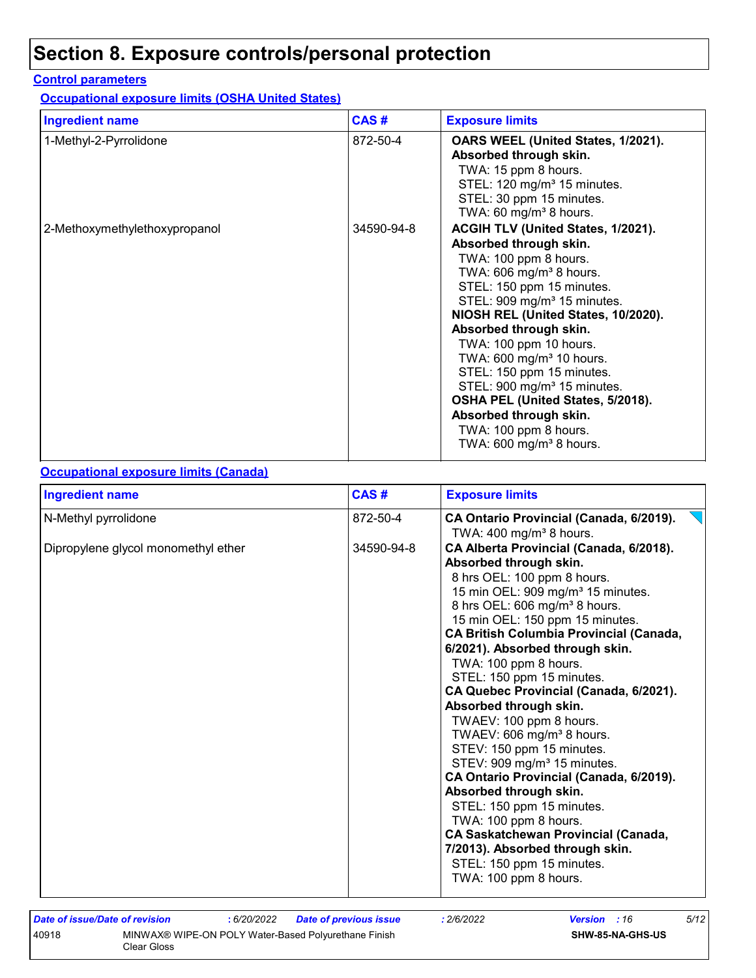# **Section 8. Exposure controls/personal protection**

### **Control parameters**

**Occupational exposure limits (OSHA United States)**

| <b>Ingredient name</b>        | CAS#       | <b>Exposure limits</b>                                                                                                                                                                                                                                                                                                                                                                                                                                                                                                                         |
|-------------------------------|------------|------------------------------------------------------------------------------------------------------------------------------------------------------------------------------------------------------------------------------------------------------------------------------------------------------------------------------------------------------------------------------------------------------------------------------------------------------------------------------------------------------------------------------------------------|
| 1-Methyl-2-Pyrrolidone        | 872-50-4   | OARS WEEL (United States, 1/2021).<br>Absorbed through skin.<br>TWA: 15 ppm 8 hours.<br>STEL: 120 mg/m <sup>3</sup> 15 minutes.<br>STEL: 30 ppm 15 minutes.<br>TWA: 60 mg/m <sup>3</sup> 8 hours.                                                                                                                                                                                                                                                                                                                                              |
| 2-Methoxymethylethoxypropanol | 34590-94-8 | ACGIH TLV (United States, 1/2021).<br>Absorbed through skin.<br>TWA: 100 ppm 8 hours.<br>TWA: 606 mg/m <sup>3</sup> 8 hours.<br>STEL: 150 ppm 15 minutes.<br>STEL: 909 mg/m <sup>3</sup> 15 minutes.<br>NIOSH REL (United States, 10/2020).<br>Absorbed through skin.<br>TWA: 100 ppm 10 hours.<br>TWA: 600 mg/m <sup>3</sup> 10 hours.<br>STEL: 150 ppm 15 minutes.<br>STEL: 900 mg/m <sup>3</sup> 15 minutes.<br>OSHA PEL (United States, 5/2018).<br>Absorbed through skin.<br>TWA: 100 ppm 8 hours.<br>TWA: 600 mg/m <sup>3</sup> 8 hours. |

#### **Occupational exposure limits (Canada)**

| <b>Ingredient name</b>              | CAS#       | <b>Exposure limits</b>                                                                                                                                                                                                                                                                                                                                                                                                                                                                                                                                                                                                                                                                                                                                                                                                                                         |
|-------------------------------------|------------|----------------------------------------------------------------------------------------------------------------------------------------------------------------------------------------------------------------------------------------------------------------------------------------------------------------------------------------------------------------------------------------------------------------------------------------------------------------------------------------------------------------------------------------------------------------------------------------------------------------------------------------------------------------------------------------------------------------------------------------------------------------------------------------------------------------------------------------------------------------|
| N-Methyl pyrrolidone                | 872-50-4   | CA Ontario Provincial (Canada, 6/2019).<br>TWA: $400 \text{ mg/m}^3$ 8 hours.                                                                                                                                                                                                                                                                                                                                                                                                                                                                                                                                                                                                                                                                                                                                                                                  |
| Dipropylene glycol monomethyl ether | 34590-94-8 | CA Alberta Provincial (Canada, 6/2018).<br>Absorbed through skin.<br>8 hrs OEL: 100 ppm 8 hours.<br>15 min OEL: 909 mg/m <sup>3</sup> 15 minutes.<br>8 hrs OEL: 606 mg/m <sup>3</sup> 8 hours.<br>15 min OEL: 150 ppm 15 minutes.<br><b>CA British Columbia Provincial (Canada,</b><br>6/2021). Absorbed through skin.<br>TWA: 100 ppm 8 hours.<br>STEL: 150 ppm 15 minutes.<br>CA Quebec Provincial (Canada, 6/2021).<br>Absorbed through skin.<br>TWAEV: 100 ppm 8 hours.<br>TWAEV: 606 mg/m <sup>3</sup> 8 hours.<br>STEV: 150 ppm 15 minutes.<br>STEV: 909 mg/m <sup>3</sup> 15 minutes.<br>CA Ontario Provincial (Canada, 6/2019).<br>Absorbed through skin.<br>STEL: 150 ppm 15 minutes.<br>TWA: 100 ppm 8 hours.<br><b>CA Saskatchewan Provincial (Canada,</b><br>7/2013). Absorbed through skin.<br>STEL: 150 ppm 15 minutes.<br>TWA: 100 ppm 8 hours. |

| Date of issue/Date of revision |                                                                     | : 6/20/2022 | <b>Date of previous issue</b> | : 2/6/2022 | <b>Version</b> : 16 |                         | 5/12 |
|--------------------------------|---------------------------------------------------------------------|-------------|-------------------------------|------------|---------------------|-------------------------|------|
| 40918                          | MINWAX® WIPE-ON POLY Water-Based Polyurethane Finish<br>Clear Gloss |             |                               |            |                     | <b>SHW-85-NA-GHS-US</b> |      |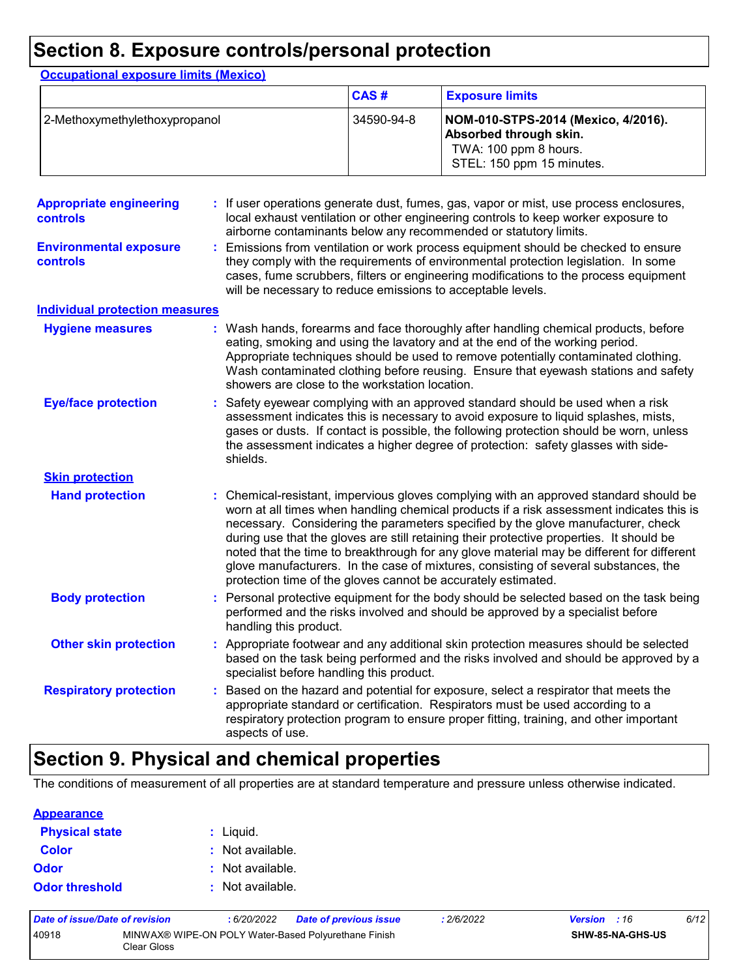# **Section 8. Exposure controls/personal protection**

| <b>Occupational exposure limits (Mexico)</b>     |  |                                                               |            |                                                                                                                                                                                                                                                                                                                                                                                                                                                                                                                                                       |
|--------------------------------------------------|--|---------------------------------------------------------------|------------|-------------------------------------------------------------------------------------------------------------------------------------------------------------------------------------------------------------------------------------------------------------------------------------------------------------------------------------------------------------------------------------------------------------------------------------------------------------------------------------------------------------------------------------------------------|
|                                                  |  |                                                               | CAS#       | <b>Exposure limits</b>                                                                                                                                                                                                                                                                                                                                                                                                                                                                                                                                |
| 2-Methoxymethylethoxypropanol                    |  |                                                               | 34590-94-8 | NOM-010-STPS-2014 (Mexico, 4/2016).<br>Absorbed through skin.<br>TWA: 100 ppm 8 hours.<br>STEL: 150 ppm 15 minutes.                                                                                                                                                                                                                                                                                                                                                                                                                                   |
| <b>Appropriate engineering</b><br>controls       |  |                                                               |            | : If user operations generate dust, fumes, gas, vapor or mist, use process enclosures,<br>local exhaust ventilation or other engineering controls to keep worker exposure to<br>airborne contaminants below any recommended or statutory limits.                                                                                                                                                                                                                                                                                                      |
| <b>Environmental exposure</b><br><b>controls</b> |  | will be necessary to reduce emissions to acceptable levels.   |            | Emissions from ventilation or work process equipment should be checked to ensure<br>they comply with the requirements of environmental protection legislation. In some<br>cases, fume scrubbers, filters or engineering modifications to the process equipment                                                                                                                                                                                                                                                                                        |
| <b>Individual protection measures</b>            |  |                                                               |            |                                                                                                                                                                                                                                                                                                                                                                                                                                                                                                                                                       |
| <b>Hygiene measures</b>                          |  | showers are close to the workstation location.                |            | Wash hands, forearms and face thoroughly after handling chemical products, before<br>eating, smoking and using the lavatory and at the end of the working period.<br>Appropriate techniques should be used to remove potentially contaminated clothing.<br>Wash contaminated clothing before reusing. Ensure that eyewash stations and safety                                                                                                                                                                                                         |
| <b>Eye/face protection</b>                       |  | shields.                                                      |            | Safety eyewear complying with an approved standard should be used when a risk<br>assessment indicates this is necessary to avoid exposure to liquid splashes, mists,<br>gases or dusts. If contact is possible, the following protection should be worn, unless<br>the assessment indicates a higher degree of protection: safety glasses with side-                                                                                                                                                                                                  |
| <b>Skin protection</b>                           |  |                                                               |            |                                                                                                                                                                                                                                                                                                                                                                                                                                                                                                                                                       |
| <b>Hand protection</b>                           |  | protection time of the gloves cannot be accurately estimated. |            | : Chemical-resistant, impervious gloves complying with an approved standard should be<br>worn at all times when handling chemical products if a risk assessment indicates this is<br>necessary. Considering the parameters specified by the glove manufacturer, check<br>during use that the gloves are still retaining their protective properties. It should be<br>noted that the time to breakthrough for any glove material may be different for different<br>glove manufacturers. In the case of mixtures, consisting of several substances, the |
| <b>Body protection</b>                           |  | handling this product.                                        |            | Personal protective equipment for the body should be selected based on the task being<br>performed and the risks involved and should be approved by a specialist before                                                                                                                                                                                                                                                                                                                                                                               |
| <b>Other skin protection</b>                     |  | specialist before handling this product.                      |            | Appropriate footwear and any additional skin protection measures should be selected<br>based on the task being performed and the risks involved and should be approved by a                                                                                                                                                                                                                                                                                                                                                                           |
| <b>Respiratory protection</b>                    |  | aspects of use.                                               |            | Based on the hazard and potential for exposure, select a respirator that meets the<br>appropriate standard or certification. Respirators must be used according to a<br>respiratory protection program to ensure proper fitting, training, and other important                                                                                                                                                                                                                                                                                        |

### **Section 9. Physical and chemical properties**

The conditions of measurement of all properties are at standard temperature and pressure unless otherwise indicated.

| <b>Appearance</b> |
|-------------------|
|-------------------|

| <b>Physical state</b> | $:$ Liquid.      |
|-----------------------|------------------|
| <b>Color</b>          | : Not available. |
| Odor                  | : Not available. |
| <b>Odor threshold</b> | : Not available. |

| Date of issue/Date of revision |                                                                     | 6/20/2022 | <b>Date of previous issue</b> | 2/6/2022 | <b>Version</b> : 16 |                         | 6/12 |
|--------------------------------|---------------------------------------------------------------------|-----------|-------------------------------|----------|---------------------|-------------------------|------|
| 40918                          | MINWAX® WIPE-ON POLY Water-Based Polyurethane Finish<br>Clear Gloss |           |                               |          |                     | <b>SHW-85-NA-GHS-US</b> |      |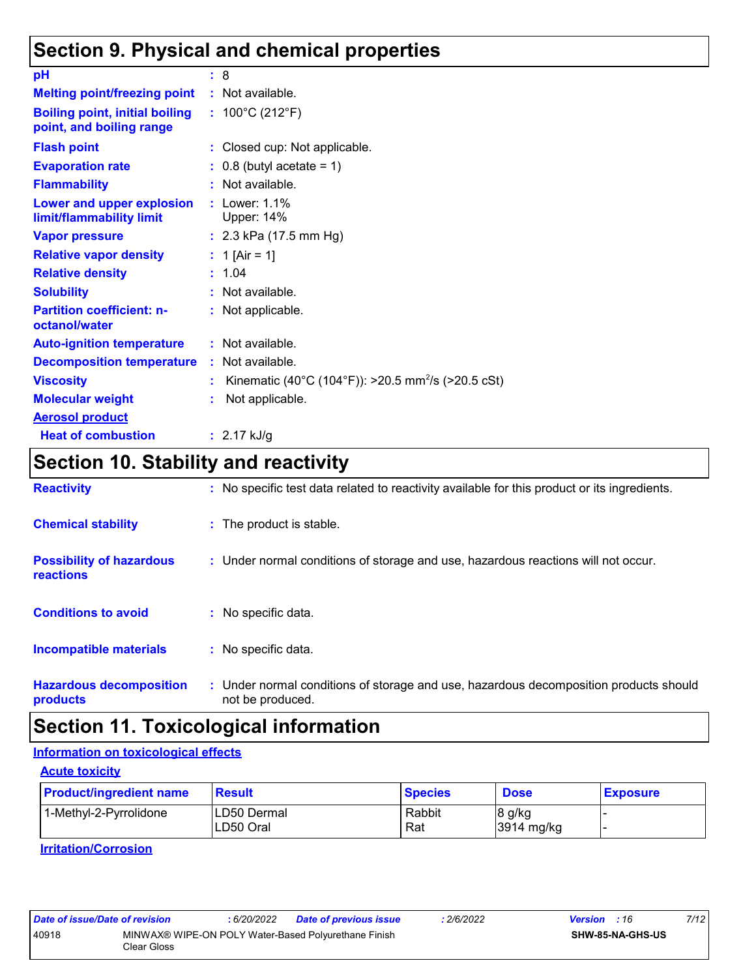### **Section 9. Physical and chemical properties**

| pH                                                                | : 8                                                            |
|-------------------------------------------------------------------|----------------------------------------------------------------|
| <b>Melting point/freezing point</b>                               | : Not available.                                               |
| <b>Boiling point, initial boiling</b><br>point, and boiling range | : $100^{\circ}$ C (212 $^{\circ}$ F)                           |
| <b>Flash point</b>                                                | : Closed cup: Not applicable.                                  |
| <b>Evaporation rate</b>                                           | $\therefore$ 0.8 (butyl acetate = 1)                           |
| <b>Flammability</b>                                               | : Not available.                                               |
| <b>Lower and upper explosion</b><br>limit/flammability limit      | : Lower: $1.1\%$<br>Upper: 14%                                 |
| <b>Vapor pressure</b>                                             | : $2.3$ kPa (17.5 mm Hg)                                       |
| <b>Relative vapor density</b>                                     | : 1 [Air = 1]                                                  |
| <b>Relative density</b>                                           | : 1.04                                                         |
| <b>Solubility</b>                                                 | : Not available.                                               |
| <b>Partition coefficient: n-</b><br>octanol/water                 | : Not applicable.                                              |
| <b>Auto-ignition temperature</b>                                  | : Not available.                                               |
| <b>Decomposition temperature</b>                                  | : Not available.                                               |
| <b>Viscosity</b>                                                  | Kinematic (40°C (104°F)): >20.5 mm <sup>2</sup> /s (>20.5 cSt) |
| <b>Molecular weight</b>                                           | Not applicable.                                                |
| <b>Aerosol product</b>                                            |                                                                |
| <b>Heat of combustion</b>                                         | : $2.17 \text{ kJ/g}$                                          |

## **Section 10. Stability and reactivity**

| <b>Reactivity</b>                            | : No specific test data related to reactivity available for this product or its ingredients.              |
|----------------------------------------------|-----------------------------------------------------------------------------------------------------------|
| <b>Chemical stability</b>                    | : The product is stable.                                                                                  |
| <b>Possibility of hazardous</b><br>reactions | : Under normal conditions of storage and use, hazardous reactions will not occur.                         |
| <b>Conditions to avoid</b>                   | : No specific data.                                                                                       |
| <b>Incompatible materials</b>                | : No specific data.                                                                                       |
| <b>Hazardous decomposition</b><br>products   | : Under normal conditions of storage and use, hazardous decomposition products should<br>not be produced. |

### **Section 11. Toxicological information**

### **Information on toxicological effects**

|--|

| <b>Product/ingredient name</b> | <b>Result</b>            | <b>Species</b> | <b>Dose</b>           | <b>Exposure</b> |
|--------------------------------|--------------------------|----------------|-----------------------|-----------------|
| 1-Methyl-2-Pyrrolidone         | LD50 Dermal<br>LD50 Oral | Rabbit<br>Rat  | ∣8 g/kg<br>3914 mg/kg |                 |

**Irritation/Corrosion**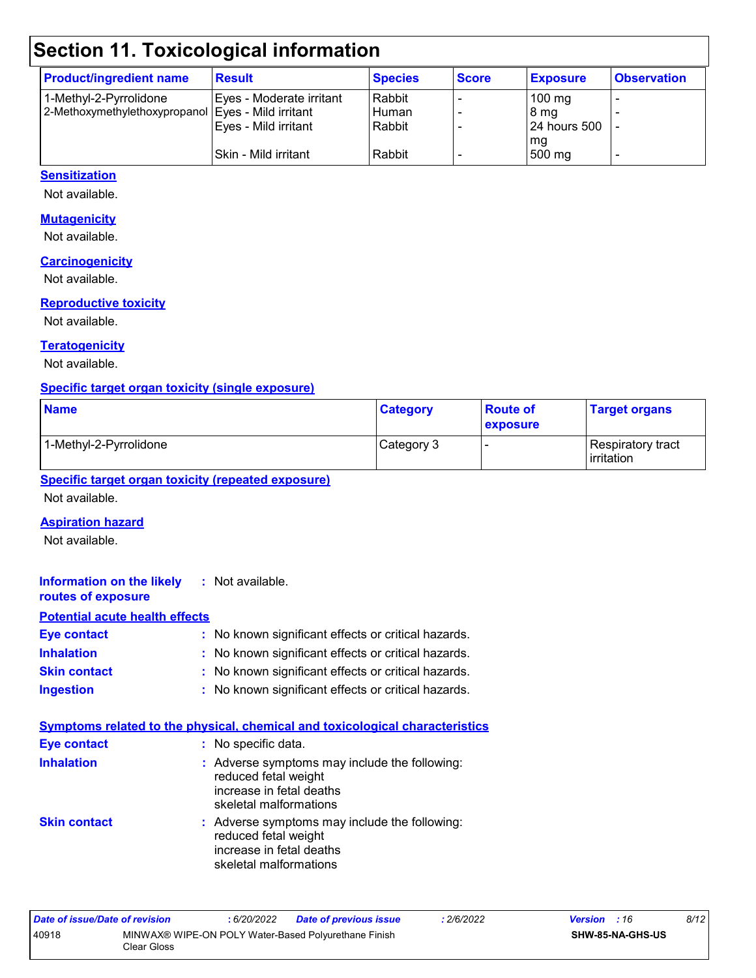### **Section 11. Toxicological information**

| <b>Product/ingredient name</b>                       | <b>Result</b>            | <b>Species</b> | <b>Score</b> | <b>Exposure</b>     | <b>Observation</b> |
|------------------------------------------------------|--------------------------|----------------|--------------|---------------------|--------------------|
| 1-Methyl-2-Pyrrolidone                               | Eyes - Moderate irritant | Rabbit         |              | $100 \text{ mg}$    |                    |
| 2-Methoxymethylethoxypropanol   Eyes - Mild irritant |                          | Human          |              | 8 mg                |                    |
|                                                      | Eyes - Mild irritant     | Rabbit         |              | <b>24 hours 500</b> |                    |
|                                                      |                          |                |              | mg                  |                    |
|                                                      | Skin - Mild irritant     | Rabbit         |              | 500 mg              |                    |

#### **Sensitization**

Not available.

#### **Mutagenicity**

Not available.

#### **Carcinogenicity**

Not available.

#### **Reproductive toxicity**

Not available.

#### **Teratogenicity**

Not available.

#### **Specific target organ toxicity (single exposure)**

| <b>Name</b>            | <b>Category</b> | <b>Route of</b><br><b>exposure</b> | <b>Target organs</b>                     |  |
|------------------------|-----------------|------------------------------------|------------------------------------------|--|
| 1-Methyl-2-Pyrrolidone | Category 3      |                                    | Respiratory tract<br><b>l</b> irritation |  |

#### **Specific target organ toxicity (repeated exposure)**

Not available.

#### **Aspiration hazard**

Not available.

#### **Information on the likely routes of exposure Inhalation :** No known significant effects or critical hazards. **Eye contact :** No known significant effects or critical hazards. **:** Not available. **Potential acute health effects**

| <u>IIIIIdiduvii </u> | . NO KNOWN SIGNINGENT CHECKS OF CHUCAL HAZARDS.     |
|----------------------|-----------------------------------------------------|
| <b>Skin contact</b>  | : No known significant effects or critical hazards. |

**Ingestion :** No known significant effects or critical hazards.

#### **Symptoms related to the physical, chemical and toxicological characteristics**

| <b>Eye contact</b>  | : No specific data.                                                                                                         |
|---------------------|-----------------------------------------------------------------------------------------------------------------------------|
| <b>Inhalation</b>   | : Adverse symptoms may include the following:<br>reduced fetal weight<br>increase in fetal deaths<br>skeletal malformations |
| <b>Skin contact</b> | : Adverse symptoms may include the following:<br>reduced fetal weight<br>increase in fetal deaths<br>skeletal malformations |

| Date of issue/Date of revision |             | : 6/20/2022 | <b>Date of previous issue</b>                        | 2/6/2022 | <b>Version</b> : 16 | 8/12 |
|--------------------------------|-------------|-------------|------------------------------------------------------|----------|---------------------|------|
| 40918                          | Clear Gloss |             | MINWAX® WIPE-ON POLY Water-Based Polyurethane Finish |          | SHW-85-NA-GHS-US    |      |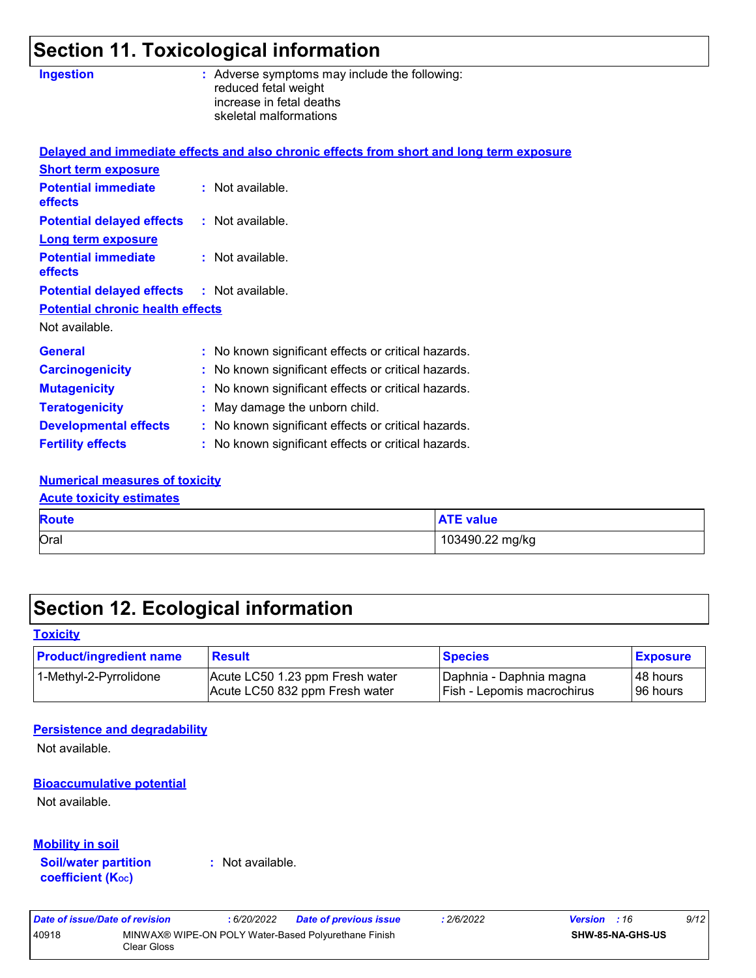### **Section 11. Toxicological information**

| <b>Ingestion</b>                        | : Adverse symptoms may include the following:<br>reduced fetal weight<br>increase in fetal deaths<br>skeletal malformations |
|-----------------------------------------|-----------------------------------------------------------------------------------------------------------------------------|
|                                         | Delayed and immediate effects and also chronic effects from short and long term exposure                                    |
| <b>Short term exposure</b>              |                                                                                                                             |
| <b>Potential immediate</b><br>effects   | : Not available.                                                                                                            |
| <b>Potential delayed effects</b>        | : Not available.                                                                                                            |
| <b>Long term exposure</b>               |                                                                                                                             |
| <b>Potential immediate</b><br>effects   | : Not available.                                                                                                            |
| <b>Potential delayed effects</b>        | $:$ Not available.                                                                                                          |
| <b>Potential chronic health effects</b> |                                                                                                                             |
| Not available.                          |                                                                                                                             |
| <b>General</b>                          | : No known significant effects or critical hazards.                                                                         |
| <b>Carcinogenicity</b>                  | : No known significant effects or critical hazards.                                                                         |
| <b>Mutagenicity</b>                     | : No known significant effects or critical hazards.                                                                         |
| <b>Teratogenicity</b>                   | : May damage the unborn child.                                                                                              |
| <b>Developmental effects</b>            | : No known significant effects or critical hazards.                                                                         |
| <b>Fertility effects</b>                | : No known significant effects or critical hazards.                                                                         |
|                                         |                                                                                                                             |

#### **Numerical measures of toxicity**

| <b>Acute toxicity estimates</b> |                  |  |  |  |
|---------------------------------|------------------|--|--|--|
| <b>Route</b>                    | <b>ATE value</b> |  |  |  |
| Oral                            | 103490.22 mg/kg  |  |  |  |

## **Section 12. Ecological information**

#### **Toxicity**

| <b>Product/ingredient name</b> | <b>Result</b>                   | <b>Species</b>               | <b>Exposure</b> |
|--------------------------------|---------------------------------|------------------------------|-----------------|
| ! 1-Methyl-2-Pyrrolidone       | Acute LC50 1.23 ppm Fresh water | Daphnia - Daphnia magna      | I 48 hours      |
|                                | Acute LC50 832 ppm Fresh water  | I Fish - Lepomis macrochirus | 196 hours       |

### **Persistence and degradability**

Not available.

#### **Bioaccumulative potential**

Not available.

### **Mobility in soil**

**Soil/water partition coefficient (KOC)**

**:** Not available.

| Date of issue/Date of revision |             | : 6/20/2022 | <b>Date of previous issue</b>                        | : 2/6/2022 | <b>Version</b> : 16 |                         | 9/12 |
|--------------------------------|-------------|-------------|------------------------------------------------------|------------|---------------------|-------------------------|------|
| 40918                          | Clear Gloss |             | MINWAX® WIPE-ON POLY Water-Based Polyurethane Finish |            |                     | <b>SHW-85-NA-GHS-US</b> |      |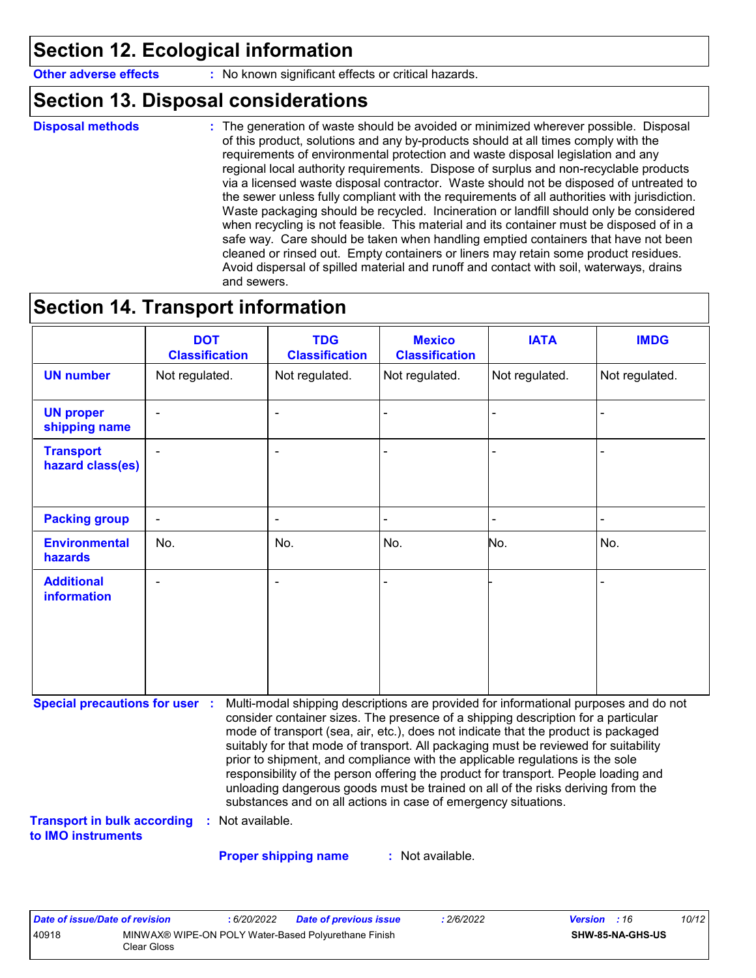### **Section 12. Ecological information**

**Other adverse effects** : No known significant effects or critical hazards.

### **Section 13. Disposal considerations**

```
Disposal methods :
```
The generation of waste should be avoided or minimized wherever possible. Disposal of this product, solutions and any by-products should at all times comply with the requirements of environmental protection and waste disposal legislation and any regional local authority requirements. Dispose of surplus and non-recyclable products via a licensed waste disposal contractor. Waste should not be disposed of untreated to the sewer unless fully compliant with the requirements of all authorities with jurisdiction. Waste packaging should be recycled. Incineration or landfill should only be considered when recycling is not feasible. This material and its container must be disposed of in a safe way. Care should be taken when handling emptied containers that have not been cleaned or rinsed out. Empty containers or liners may retain some product residues. Avoid dispersal of spilled material and runoff and contact with soil, waterways, drains and sewers.

### **Section 14. Transport information**

|                                         | <b>DOT</b><br><b>Classification</b> | <b>TDG</b><br><b>Classification</b> | <b>Mexico</b><br><b>Classification</b> | <b>IATA</b>    | <b>IMDG</b>    |
|-----------------------------------------|-------------------------------------|-------------------------------------|----------------------------------------|----------------|----------------|
| <b>UN number</b>                        | Not regulated.                      | Not regulated.                      | Not regulated.                         | Not regulated. | Not regulated. |
| <b>UN proper</b><br>shipping name       | ٠                                   | $\overline{\phantom{a}}$            | $\blacksquare$                         |                | $\blacksquare$ |
| <b>Transport</b><br>hazard class(es)    | ٠                                   | $\blacksquare$                      | $\blacksquare$                         |                | ٠              |
| <b>Packing group</b>                    | $\overline{\phantom{a}}$            | $\blacksquare$                      | $\blacksquare$                         | $\blacksquare$ | $\blacksquare$ |
| <b>Environmental</b><br>hazards         | No.                                 | No.                                 | No.                                    | No.            | No.            |
| <b>Additional</b><br><b>information</b> |                                     | $\overline{\phantom{0}}$            | ۰                                      |                | ۰              |

**Special precautions for user :** Multi-modal shipping descriptions are provided for informational purposes and do not consider container sizes. The presence of a shipping description for a particular mode of transport (sea, air, etc.), does not indicate that the product is packaged suitably for that mode of transport. All packaging must be reviewed for suitability prior to shipment, and compliance with the applicable regulations is the sole responsibility of the person offering the product for transport. People loading and unloading dangerous goods must be trained on all of the risks deriving from the substances and on all actions in case of emergency situations.

**Transport in bulk according :** Not available.

**to IMO instruments**

**Proper shipping name :**

: Not available.

| Date of issue/Date of revision |             | : 6/20/2022 | <b>Date of previous issue</b>                        | : 2/6/2022 | <b>Version</b> : 16 |                         | 10/12 |
|--------------------------------|-------------|-------------|------------------------------------------------------|------------|---------------------|-------------------------|-------|
| 40918                          | Clear Gloss |             | MINWAX® WIPE-ON POLY Water-Based Polyurethane Finish |            |                     | <b>SHW-85-NA-GHS-US</b> |       |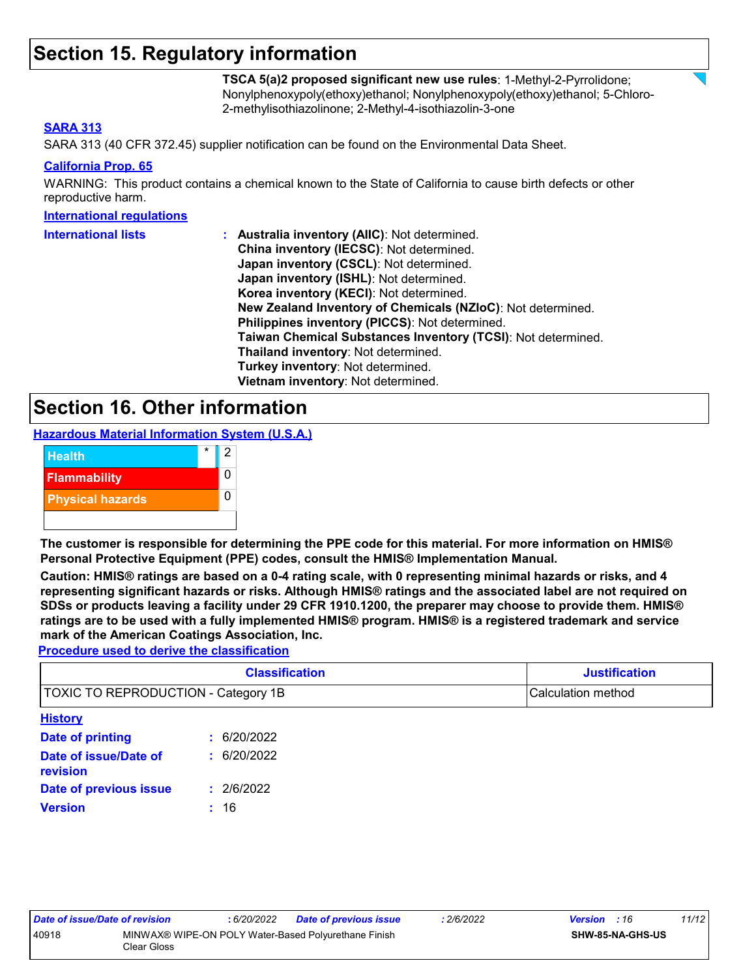### **Section 15. Regulatory information**

**TSCA 5(a)2 proposed significant new use rules**: 1-Methyl-2-Pyrrolidone; Nonylphenoxypoly(ethoxy)ethanol; Nonylphenoxypoly(ethoxy)ethanol; 5-Chloro-2-methylisothiazolinone; 2-Methyl-4-isothiazolin-3-one

#### **SARA 313**

SARA 313 (40 CFR 372.45) supplier notification can be found on the Environmental Data Sheet.

#### **California Prop. 65**

WARNING: This product contains a chemical known to the State of California to cause birth defects or other reproductive harm.

| <b>International requlations</b> |                                                              |
|----------------------------------|--------------------------------------------------------------|
| <b>International lists</b>       | : Australia inventory (AIIC): Not determined.                |
|                                  | China inventory (IECSC): Not determined.                     |
|                                  | Japan inventory (CSCL): Not determined.                      |
|                                  | Japan inventory (ISHL): Not determined.                      |
|                                  | Korea inventory (KECI): Not determined.                      |
|                                  | New Zealand Inventory of Chemicals (NZIoC): Not determined.  |
|                                  | Philippines inventory (PICCS): Not determined.               |
|                                  | Taiwan Chemical Substances Inventory (TCSI): Not determined. |
|                                  | Thailand inventory: Not determined.                          |
|                                  | Turkey inventory: Not determined.                            |
|                                  | <b>Vietnam inventory: Not determined.</b>                    |

### **Section 16. Other information**

**Hazardous Material Information System (U.S.A.)**



**The customer is responsible for determining the PPE code for this material. For more information on HMIS® Personal Protective Equipment (PPE) codes, consult the HMIS® Implementation Manual.**

**Caution: HMIS® ratings are based on a 0-4 rating scale, with 0 representing minimal hazards or risks, and 4 representing significant hazards or risks. Although HMIS® ratings and the associated label are not required on SDSs or products leaving a facility under 29 CFR 1910.1200, the preparer may choose to provide them. HMIS® ratings are to be used with a fully implemented HMIS® program. HMIS® is a registered trademark and service mark of the American Coatings Association, Inc.**

**Procedure used to derive the classification**

|                                            | <b>Classification</b> | <b>Justification</b> |
|--------------------------------------------|-----------------------|----------------------|
| <b>TOXIC TO REPRODUCTION - Category 1B</b> |                       | Calculation method   |
| <b>History</b>                             |                       |                      |
| <b>Date of printing</b>                    | 6/20/2022<br>÷.       |                      |
| Date of issue/Date of<br>revision          | 6/20/2022             |                      |
| Date of previous issue                     | 2/6/2022<br>t.        |                      |
| <b>Version</b>                             | 16<br>÷.              |                      |

| Date of issue/Date of revision |             | : 6/20/2022 | <b>Date of previous issue</b>                        | .2/6/2022 | <b>Version</b> : 16     | 11/12 |
|--------------------------------|-------------|-------------|------------------------------------------------------|-----------|-------------------------|-------|
| 40918                          | Clear Gloss |             | MINWAX® WIPE-ON POLY Water-Based Polyurethane Finish |           | <b>SHW-85-NA-GHS-US</b> |       |